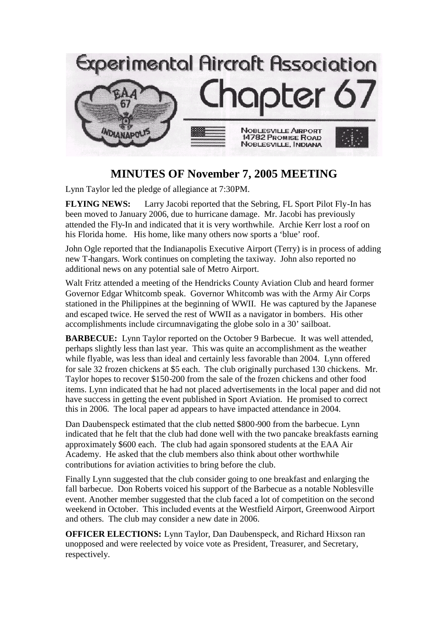

## **MINUTES OF November 7, 2005 MEETING**

Lynn Taylor led the pledge of allegiance at 7:30PM.

**FLYING NEWS:** Larry Jacobi reported that the Sebring, FL Sport Pilot Fly-In has been moved to January 2006, due to hurricane damage. Mr. Jacobi has previously attended the Fly-In and indicated that it is very worthwhile. Archie Kerr lost a roof on his Florida home. His home, like many others now sports a 'blue' roof.

John Ogle reported that the Indianapolis Executive Airport (Terry) is in process of adding new T-hangars. Work continues on completing the taxiway. John also reported no additional news on any potential sale of Metro Airport.

Walt Fritz attended a meeting of the Hendricks County Aviation Club and heard former Governor Edgar Whitcomb speak. Governor Whitcomb was with the Army Air Corps stationed in the Philippines at the beginning of WWII. He was captured by the Japanese and escaped twice. He served the rest of WWII as a navigator in bombers. His other accomplishments include circumnavigating the globe solo in a 30' sailboat.

**BARBECUE:** Lynn Taylor reported on the October 9 Barbecue. It was well attended, perhaps slightly less than last year. This was quite an accomplishment as the weather while flyable, was less than ideal and certainly less favorable than 2004. Lynn offered for sale 32 frozen chickens at \$5 each. The club originally purchased 130 chickens. Mr. Taylor hopes to recover \$150-200 from the sale of the frozen chickens and other food items. Lynn indicated that he had not placed advertisements in the local paper and did not have success in getting the event published in Sport Aviation. He promised to correct this in 2006. The local paper ad appears to have impacted attendance in 2004.

Dan Daubenspeck estimated that the club netted \$800-900 from the barbecue. Lynn indicated that he felt that the club had done well with the two pancake breakfasts earning approximately \$600 each. The club had again sponsored students at the EAA Air Academy. He asked that the club members also think about other worthwhile contributions for aviation activities to bring before the club.

Finally Lynn suggested that the club consider going to one breakfast and enlarging the fall barbecue. Don Roberts voiced his support of the Barbecue as a notable Noblesville event. Another member suggested that the club faced a lot of competition on the second weekend in October. This included events at the Westfield Airport, Greenwood Airport and others. The club may consider a new date in 2006.

**OFFICER ELECTIONS:** Lynn Taylor, Dan Daubenspeck, and Richard Hixson ran unopposed and were reelected by voice vote as President, Treasurer, and Secretary, respectively.